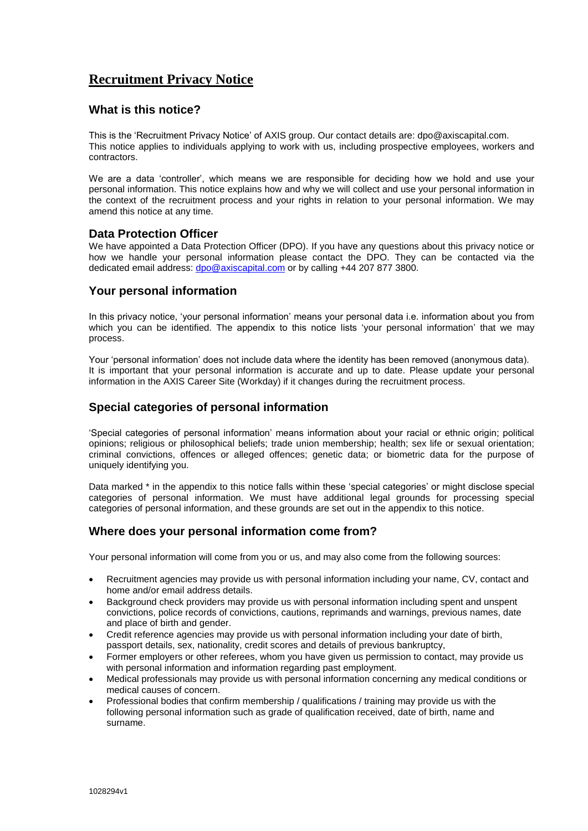# **Recruitment Privacy Notice**

## **What is this notice?**

This is the 'Recruitment Privacy Notice' of AXIS group. Our contact details are: dpo@axiscapital.com. This notice applies to individuals applying to work with us, including prospective employees, workers and contractors.

We are a data 'controller', which means we are responsible for deciding how we hold and use your personal information. This notice explains how and why we will collect and use your personal information in the context of the recruitment process and your rights in relation to your personal information. We may amend this notice at any time.

### **Data Protection Officer**

We have appointed a Data Protection Officer (DPO). If you have any questions about this privacy notice or how we handle your personal information please contact the DPO. They can be contacted via the dedicated email address: [dpo@axiscapital.com](mailto:dpo@axiscapital.com) or by calling +44 207 877 3800.

### **Your personal information**

In this privacy notice, 'your personal information' means your personal data i.e. information about you from which you can be identified. The appendix to this notice lists 'your personal information' that we may process.

Your 'personal information' does not include data where the identity has been removed (anonymous data). It is important that your personal information is accurate and up to date. Please update your personal information in the AXIS Career Site (Workday) if it changes during the recruitment process.

# **Special categories of personal information**

'Special categories of personal information' means information about your racial or ethnic origin; political opinions; religious or philosophical beliefs; trade union membership; health; sex life or sexual orientation; criminal convictions, offences or alleged offences; genetic data; or biometric data for the purpose of uniquely identifying you.

Data marked \* in the appendix to this notice falls within these 'special categories' or might disclose special categories of personal information. We must have additional legal grounds for processing special categories of personal information, and these grounds are set out in the appendix to this notice.

# **Where does your personal information come from?**

Your personal information will come from you or us, and may also come from the following sources:

- Recruitment agencies may provide us with personal information including your name, CV, contact and home and/or email address details.
- Background check providers may provide us with personal information including spent and unspent convictions, police records of convictions, cautions, reprimands and warnings, previous names, date and place of birth and gender.
- Credit reference agencies may provide us with personal information including your date of birth, passport details, sex, nationality, credit scores and details of previous bankruptcy,
- Former employers or other referees, whom you have given us permission to contact, may provide us with personal information and information regarding past employment.
- Medical professionals may provide us with personal information concerning any medical conditions or medical causes of concern.
- Professional bodies that confirm membership / qualifications / training may provide us with the following personal information such as grade of qualification received, date of birth, name and surname.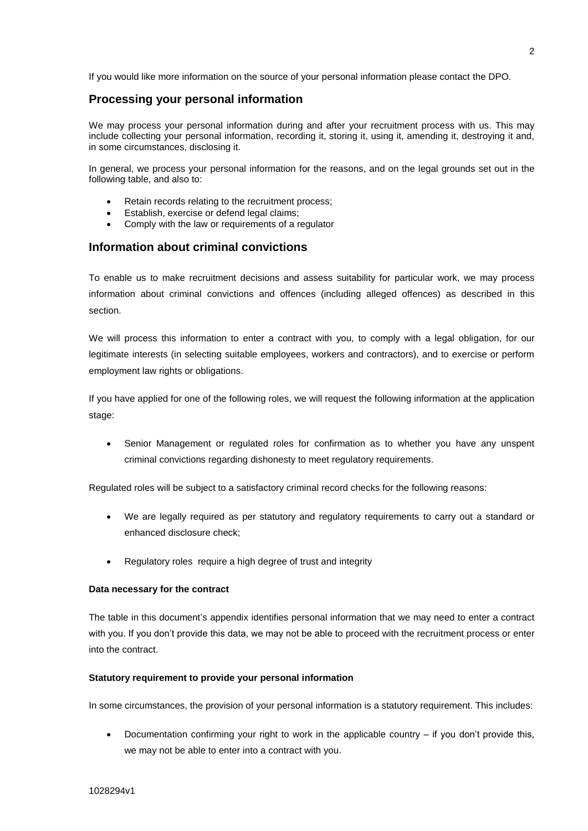If you would like more information on the source of your personal information please contact the DPO.

## **Processing your personal information**

We may process your personal information during and after your recruitment process with us. This may include collecting your personal information, recording it, storing it, using it, amending it, destroying it and, in some circumstances, disclosing it.

In general, we process your personal information for the reasons, and on the legal grounds set out in the following table, and also to:

- Retain records relating to the recruitment process;
- Establish, exercise or defend legal claims;
- Comply with the law or requirements of a regulator

### **Information about criminal convictions**

To enable us to make recruitment decisions and assess suitability for particular work, we may process information about criminal convictions and offences (including alleged offences) as described in this section.

We will process this information to enter a contract with you, to comply with a legal obligation, for our legitimate interests (in selecting suitable employees, workers and contractors), and to exercise or perform employment law rights or obligations.

If you have applied for one of the following roles, we will request the following information at the application stage:

 Senior Management or regulated roles for confirmation as to whether you have any unspent criminal convictions regarding dishonesty to meet regulatory requirements.

Regulated roles will be subject to a satisfactory criminal record checks for the following reasons:

- We are legally required as per statutory and regulatory requirements to carry out a standard or enhanced disclosure check;
- Regulatory roles require a high degree of trust and integrity

#### **Data necessary for the contract**

The table in this document's appendix identifies personal information that we may need to enter a contract with you. If you don't provide this data, we may not be able to proceed with the recruitment process or enter into the contract.

#### **Statutory requirement to provide your personal information**

In some circumstances, the provision of your personal information is a statutory requirement. This includes:

 Documentation confirming your right to work in the applicable country – if you don't provide this, we may not be able to enter into a contract with you.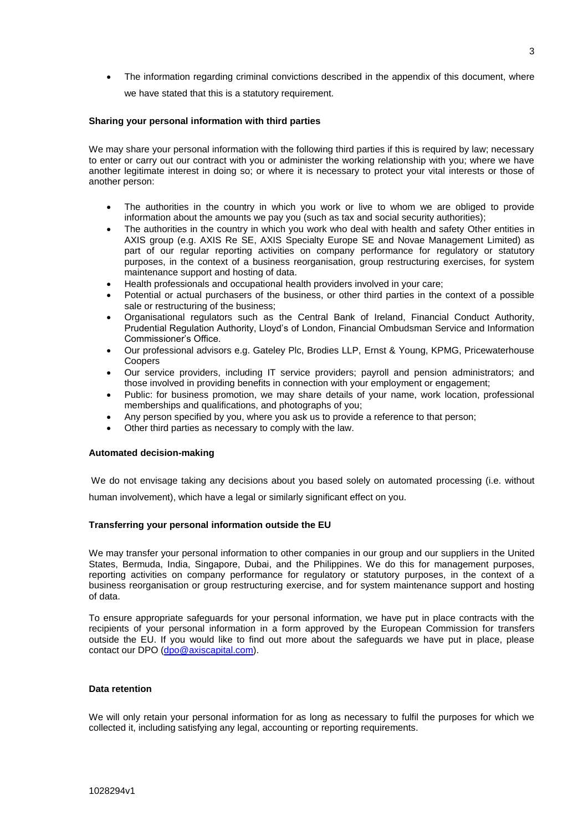The information regarding criminal convictions described in the appendix of this document, where we have stated that this is a statutory requirement.

#### **Sharing your personal information with third parties**

We may share your personal information with the following third parties if this is required by law; necessary to enter or carry out our contract with you or administer the working relationship with you; where we have another legitimate interest in doing so; or where it is necessary to protect your vital interests or those of another person:

- The authorities in the country in which you work or live to whom we are obliged to provide information about the amounts we pay you (such as tax and social security authorities);
- The authorities in the country in which you work who deal with health and safety Other entities in AXIS group (e.g. AXIS Re SE, AXIS Specialty Europe SE and Novae Management Limited) as part of our regular reporting activities on company performance for regulatory or statutory purposes, in the context of a business reorganisation, group restructuring exercises, for system maintenance support and hosting of data.
- Health professionals and occupational health providers involved in your care;
- Potential or actual purchasers of the business, or other third parties in the context of a possible sale or restructuring of the business;
- Organisational regulators such as the Central Bank of Ireland, Financial Conduct Authority, Prudential Regulation Authority, Lloyd's of London, Financial Ombudsman Service and Information Commissioner's Office.
- Our professional advisors e.g. Gateley Plc, Brodies LLP, Ernst & Young, KPMG, Pricewaterhouse **Coopers**
- Our service providers, including IT service providers; payroll and pension administrators; and those involved in providing benefits in connection with your employment or engagement;
- Public: for business promotion, we may share details of your name, work location, professional memberships and qualifications, and photographs of you;
- Any person specified by you, where you ask us to provide a reference to that person;
- Other third parties as necessary to comply with the law.

#### **Automated decision-making**

We do not envisage taking any decisions about you based solely on automated processing (i.e. without human involvement), which have a legal or similarly significant effect on you.

#### **Transferring your personal information outside the EU**

We may transfer your personal information to other companies in our group and our suppliers in the United States, Bermuda, India, Singapore, Dubai, and the Philippines. We do this for management purposes, reporting activities on company performance for regulatory or statutory purposes, in the context of a business reorganisation or group restructuring exercise, and for system maintenance support and hosting of data.

To ensure appropriate safeguards for your personal information, we have put in place contracts with the recipients of your personal information in a form approved by the European Commission for transfers outside the EU. If you would like to find out more about the safeguards we have put in place, please contact our DPO [\(dpo@axiscapital.com\)](mailto:dpo@axiscapital.com).

#### **Data retention**

We will only retain your personal information for as long as necessary to fulfil the purposes for which we collected it, including satisfying any legal, accounting or reporting requirements.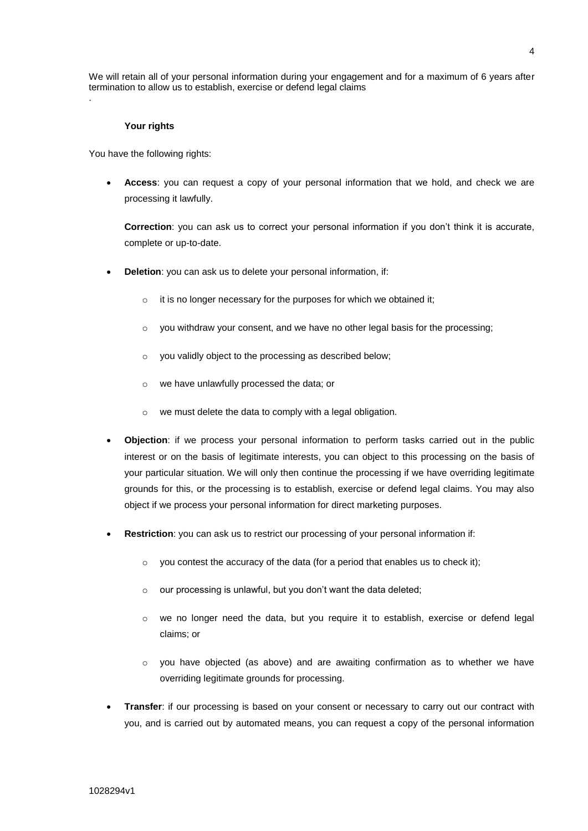#### **Your rights**

.

You have the following rights:

 **Access**: you can request a copy of your personal information that we hold, and check we are processing it lawfully.

**Correction**: you can ask us to correct your personal information if you don't think it is accurate, complete or up-to-date.

- **Deletion:** you can ask us to delete your personal information, if:
	- o it is no longer necessary for the purposes for which we obtained it;
	- $\circ$  you withdraw your consent, and we have no other legal basis for the processing;
	- o you validly object to the processing as described below;
	- o we have unlawfully processed the data; or
	- o we must delete the data to comply with a legal obligation.
- **Objection**: if we process your personal information to perform tasks carried out in the public interest or on the basis of legitimate interests, you can object to this processing on the basis of your particular situation. We will only then continue the processing if we have overriding legitimate grounds for this, or the processing is to establish, exercise or defend legal claims. You may also object if we process your personal information for direct marketing purposes.
- **Restriction**: you can ask us to restrict our processing of your personal information if:
	- $\circ$  you contest the accuracy of the data (for a period that enables us to check it);
	- o our processing is unlawful, but you don't want the data deleted;
	- o we no longer need the data, but you require it to establish, exercise or defend legal claims; or
	- o you have objected (as above) and are awaiting confirmation as to whether we have overriding legitimate grounds for processing.
- **Transfer**: if our processing is based on your consent or necessary to carry out our contract with you, and is carried out by automated means, you can request a copy of the personal information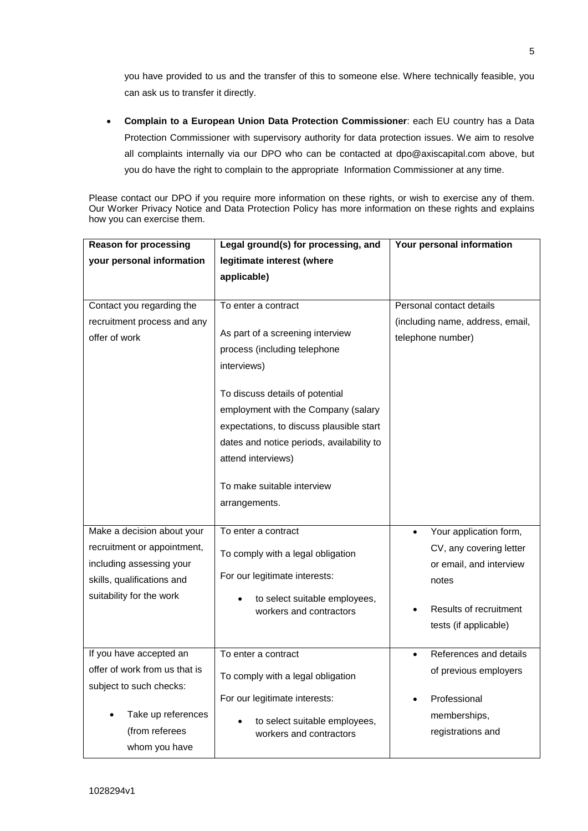you have provided to us and the transfer of this to someone else. Where technically feasible, you can ask us to transfer it directly.

 **Complain to a European Union Data Protection Commissioner**: each EU country has a Data Protection Commissioner with supervisory authority for data protection issues. We aim to resolve all complaints internally via our DPO who can be contacted at dpo@axiscapital.com above, but you do have the right to complain to the appropriate Information Commissioner at any time.

Please contact our DPO if you require more information on these rights, or wish to exercise any of them. Our Worker Privacy Notice and Data Protection Policy has more information on these rights and explains how you can exercise them.

| <b>Reason for processing</b>  | Legal ground(s) for processing, and                      | Your personal information           |
|-------------------------------|----------------------------------------------------------|-------------------------------------|
| your personal information     | legitimate interest (where                               |                                     |
|                               | applicable)                                              |                                     |
|                               |                                                          |                                     |
| Contact you regarding the     | To enter a contract                                      | Personal contact details            |
| recruitment process and any   |                                                          | (including name, address, email,    |
| offer of work                 | As part of a screening interview                         | telephone number)                   |
|                               | process (including telephone                             |                                     |
|                               | interviews)                                              |                                     |
|                               | To discuss details of potential                          |                                     |
|                               | employment with the Company (salary                      |                                     |
|                               | expectations, to discuss plausible start                 |                                     |
|                               | dates and notice periods, availability to                |                                     |
|                               | attend interviews)                                       |                                     |
|                               |                                                          |                                     |
|                               | To make suitable interview                               |                                     |
|                               | arrangements.                                            |                                     |
|                               |                                                          |                                     |
| Make a decision about your    | To enter a contract                                      | Your application form,<br>$\bullet$ |
| recruitment or appointment,   | To comply with a legal obligation                        | CV, any covering letter             |
| including assessing your      | For our legitimate interests:                            | or email, and interview             |
| skills, qualifications and    |                                                          | notes                               |
| suitability for the work      | to select suitable employees,<br>workers and contractors | Results of recruitment              |
|                               |                                                          | tests (if applicable)               |
|                               |                                                          |                                     |
| If you have accepted an       | To enter a contract                                      | References and details<br>$\bullet$ |
| offer of work from us that is | To comply with a legal obligation                        | of previous employers               |
| subject to such checks:       |                                                          |                                     |
|                               | For our legitimate interests:                            | Professional                        |
| Take up references            | to select suitable employees,                            | memberships,                        |
| (from referees                | workers and contractors                                  | registrations and                   |
| whom you have                 |                                                          |                                     |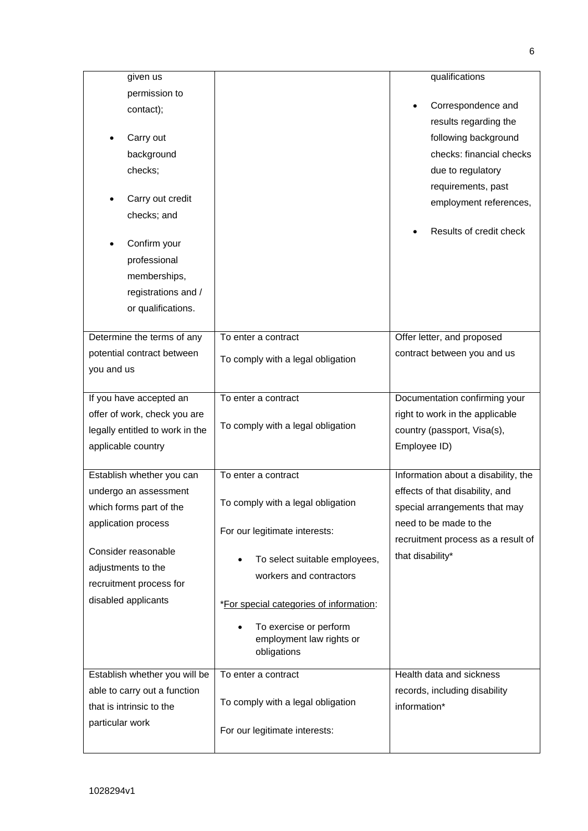| given us                        |                                         | qualifications                      |
|---------------------------------|-----------------------------------------|-------------------------------------|
| permission to                   |                                         |                                     |
| contact);                       |                                         | Correspondence and                  |
|                                 |                                         | results regarding the               |
| Carry out                       |                                         | following background                |
| background                      |                                         | checks: financial checks            |
| checks;                         |                                         | due to regulatory                   |
|                                 |                                         | requirements, past                  |
| Carry out credit                |                                         | employment references,              |
| checks; and                     |                                         |                                     |
|                                 |                                         | Results of credit check             |
| Confirm your                    |                                         |                                     |
| professional                    |                                         |                                     |
| memberships,                    |                                         |                                     |
| registrations and /             |                                         |                                     |
| or qualifications.              |                                         |                                     |
| Determine the terms of any      | To enter a contract                     | Offer letter, and proposed          |
| potential contract between      |                                         | contract between you and us         |
| you and us                      | To comply with a legal obligation       |                                     |
|                                 |                                         |                                     |
| If you have accepted an         | To enter a contract                     | Documentation confirming your       |
| offer of work, check you are    |                                         | right to work in the applicable     |
| legally entitled to work in the | To comply with a legal obligation       | country (passport, Visa(s),         |
| applicable country              |                                         | Employee ID)                        |
|                                 |                                         |                                     |
| Establish whether you can       | To enter a contract                     | Information about a disability, the |
| undergo an assessment           |                                         | effects of that disability, and     |
| which forms part of the         | To comply with a legal obligation       | special arrangements that may       |
| application process             | For our legitimate interests:           | need to be made to the              |
|                                 |                                         | recruitment process as a result of  |
| Consider reasonable             | To select suitable employees,           | that disability*                    |
| adjustments to the              | workers and contractors                 |                                     |
| recruitment process for         |                                         |                                     |
| disabled applicants             | *For special categories of information: |                                     |
|                                 | To exercise or perform                  |                                     |
|                                 | employment law rights or                |                                     |
|                                 | obligations                             |                                     |
| Establish whether you will be   | To enter a contract                     | Health data and sickness            |
| able to carry out a function    |                                         | records, including disability       |
| that is intrinsic to the        | To comply with a legal obligation       | information*                        |
| particular work                 |                                         |                                     |
|                                 | For our legitimate interests:           |                                     |
|                                 |                                         |                                     |